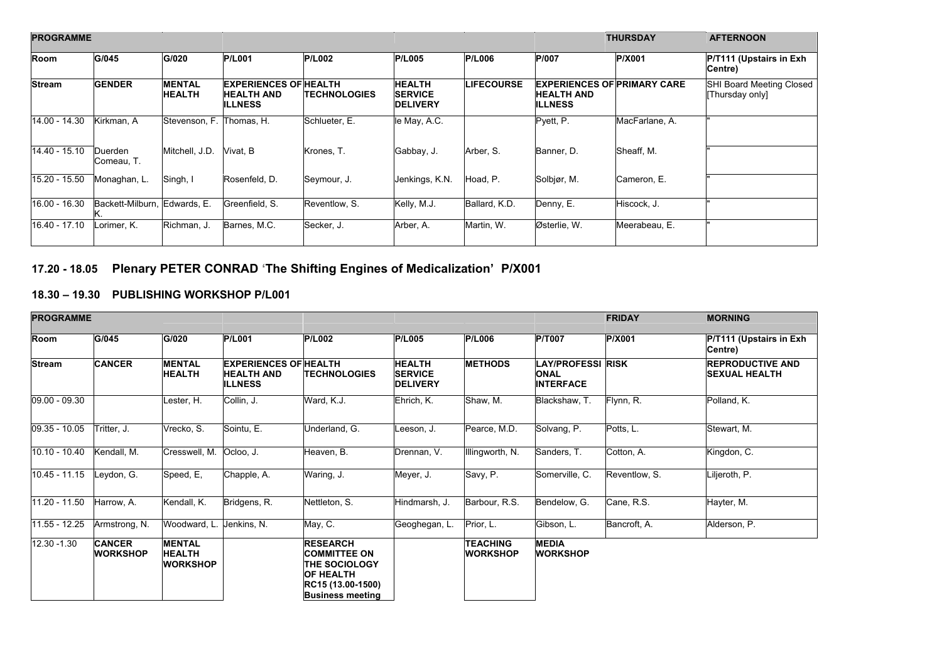| <b>PROGRAMME</b> |                              |                                |                                                                     |                     |                                                    |                    | <b>THURSDAY</b>                                                            | <b>AFTERNOON</b> |                                             |
|------------------|------------------------------|--------------------------------|---------------------------------------------------------------------|---------------------|----------------------------------------------------|--------------------|----------------------------------------------------------------------------|------------------|---------------------------------------------|
| Room             | G/045                        | G/020                          | <b>P/L001</b>                                                       | <b>P/L002</b>       | <b>P/L005</b>                                      | <b>P/L006</b>      | P/007                                                                      | <b>P/X001</b>    | P/T111 (Upstairs in Exh<br>Centre)          |
| <b>Stream</b>    | <b>GENDER</b>                | <b>MENTAL</b><br><b>HEALTH</b> | <b>EXPERIENCES OF HEALTH</b><br><b>HEALTH AND</b><br><b>ILLNESS</b> | <b>TECHNOLOGIES</b> | <b>HEALTH</b><br><b>SERVICE</b><br><b>DELIVERY</b> | <b>ILIFECOURSE</b> | <b>EXPERIENCES OF PRIMARY CARE</b><br><b>HEALTH AND</b><br><b>IILLNESS</b> |                  | SHI Board Meeting Closed<br>[Thursday only] |
| 14.00 - 14.30    | Kirkman, A                   | Stevenson, F. Thomas, H.       |                                                                     | Schlueter, E.       | le May, A.C.                                       |                    | Pyett, P.                                                                  | MacFarlane, A.   |                                             |
| 14.40 - 15.10    | Duerden<br>Comeau, T.        | Mitchell, J.D.                 | Vivat, B                                                            | Krones, T.          | Gabbay, J.                                         | Arber, S.          | Banner, D.                                                                 | Sheaff, M.       |                                             |
| 15.20 - 15.50    | Monaghan, L.                 | Singh, I                       | Rosenfeld, D.                                                       | Seymour, J.         | Jenkings, K.N.                                     | Hoad, P.           | Solbjør, M.                                                                | Cameron, E.      |                                             |
| $16.00 - 16.30$  | Backett-Milburn, Edwards, E. |                                | Greenfield, S.                                                      | Reventlow, S.       | Kelly, M.J.                                        | Ballard, K.D.      | Denny, E.                                                                  | Hiscock, J.      |                                             |
| 16.40 - 17.10    | Lorimer, K.                  | Richman, J.                    | Barnes, M.C.                                                        | Secker, J.          | Arber, A.                                          | Martin, W.         | Østerlie, W.                                                               | Meerabeau, E.    |                                             |

## **17.20 - 18.05 Plenary PETER CONRAD 'The Shifting Engines of Medicalization' P/X001**

## **18.30 – 19.30 PUBLISHING WORKSHOP P/L001**

| <b>PROGRAMME</b> |                                  |                                                   |                                                                     |                                                                                                                                    |                                                    |                                    |                                                             |               | <b>MORNING</b>                                  |
|------------------|----------------------------------|---------------------------------------------------|---------------------------------------------------------------------|------------------------------------------------------------------------------------------------------------------------------------|----------------------------------------------------|------------------------------------|-------------------------------------------------------------|---------------|-------------------------------------------------|
| Room             | G/045                            | G/020                                             | <b>P/L001</b>                                                       | <b>P/L002</b>                                                                                                                      | <b>P/L005</b>                                      | <b>P/L006</b>                      | <b>P/T007</b>                                               | P/X001        | P/T111 (Upstairs in Exh<br>Centre)              |
| <b>Stream</b>    | <b>CANCER</b>                    | <b>MENTAL</b><br><b>HEALTH</b>                    | <b>EXPERIENCES OF HEALTH</b><br><b>HEALTH AND</b><br><b>ILLNESS</b> | <b>TECHNOLOGIES</b>                                                                                                                | <b>HEALTH</b><br><b>SERVICE</b><br><b>DELIVERY</b> | <b>METHODS</b>                     | <b>LAY/PROFESSI RISK</b><br><b>ONAL</b><br><b>INTERFACE</b> |               | <b>REPRODUCTIVE AND</b><br><b>SEXUAL HEALTH</b> |
| 09.00 - 09.30    |                                  | Lester, H.                                        | Collin, J.                                                          | Ward, K.J.                                                                                                                         | Ehrich, K.                                         | Shaw, M.                           | Blackshaw, T.                                               | Flynn, R.     | Polland, K.                                     |
| 09.35 - 10.05    | Tritter, J.                      | Vrecko, S.                                        | Sointu, E.                                                          | Underland, G.                                                                                                                      | Leeson, J.                                         | Pearce, M.D.                       | Solvang, P.                                                 | Potts, L.     | Stewart, M.                                     |
| 10.10 - 10.40    | Kendall, M.                      | Cresswell, M.                                     | Ocloo, J.                                                           | Heaven, B.                                                                                                                         | Drennan, V.                                        | Illingworth, N.                    | Sanders, T.                                                 | Cotton, A.    | Kingdon, C.                                     |
| $10.45 - 11.15$  | Leydon, G.                       | Speed, E,                                         | Chapple, A.                                                         | Waring, J.                                                                                                                         | Meyer, J.                                          | Savy, P.                           | Somerville, C.                                              | Reventlow, S. | Liljeroth, P.                                   |
| 11.20 - 11.50    | Harrow, A.                       | Kendall, K.                                       | Bridgens, R.                                                        | Nettleton, S.                                                                                                                      | Hindmarsh, J.                                      | Barbour, R.S.                      | Bendelow, G.                                                | Cane, R.S.    | Hayter, M.                                      |
| 11.55 - 12.25    | Armstrong, N.                    | Woodward, L.                                      | Jenkins, N.                                                         | May, C.                                                                                                                            | Geoghegan, L.                                      | Prior, L.                          | Gibson, L.                                                  | Bancroft, A.  | Alderson, P.                                    |
| 12.30 - 1.30     | <b>CANCER</b><br><b>WORKSHOP</b> | <b>MENTAL</b><br><b>HEALTH</b><br><b>WORKSHOP</b> |                                                                     | <b>RESEARCH</b><br><b>COMMITTEE ON</b><br><b>THE SOCIOLOGY</b><br><b>OF HEALTH</b><br>RC15 (13.00-1500)<br><b>Business meeting</b> |                                                    | <b>TEACHING</b><br><b>WORKSHOP</b> | <b>MEDIA</b><br><b>WORKSHOP</b>                             |               |                                                 |